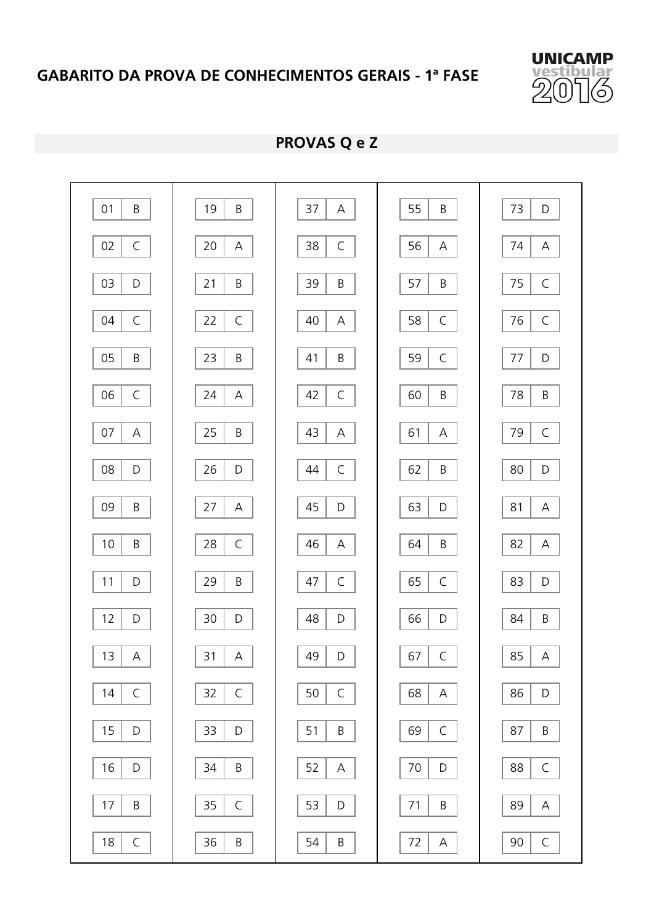

**PROVAS Q e Z** 

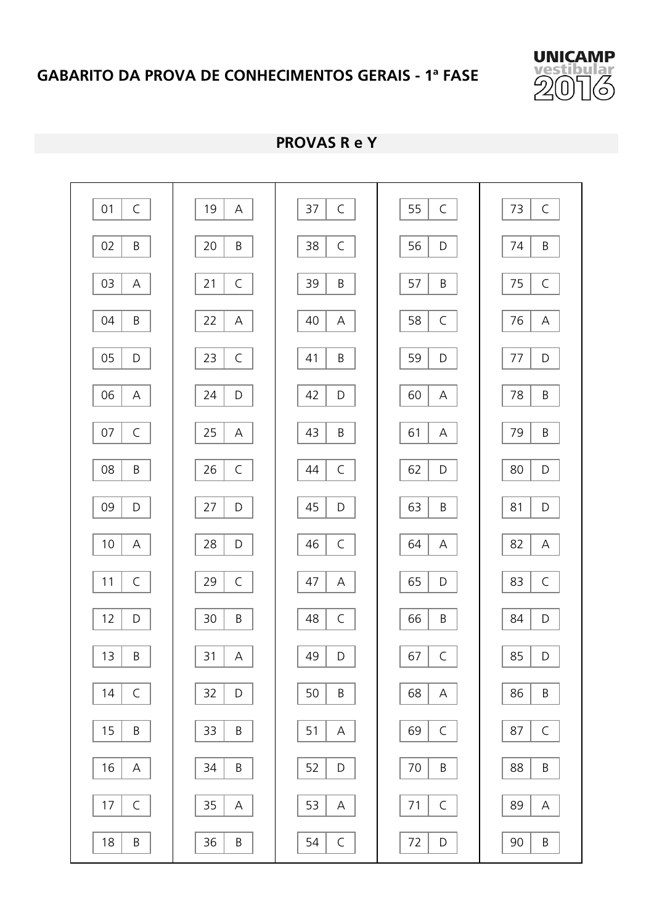

**PROVAS R e Y** 

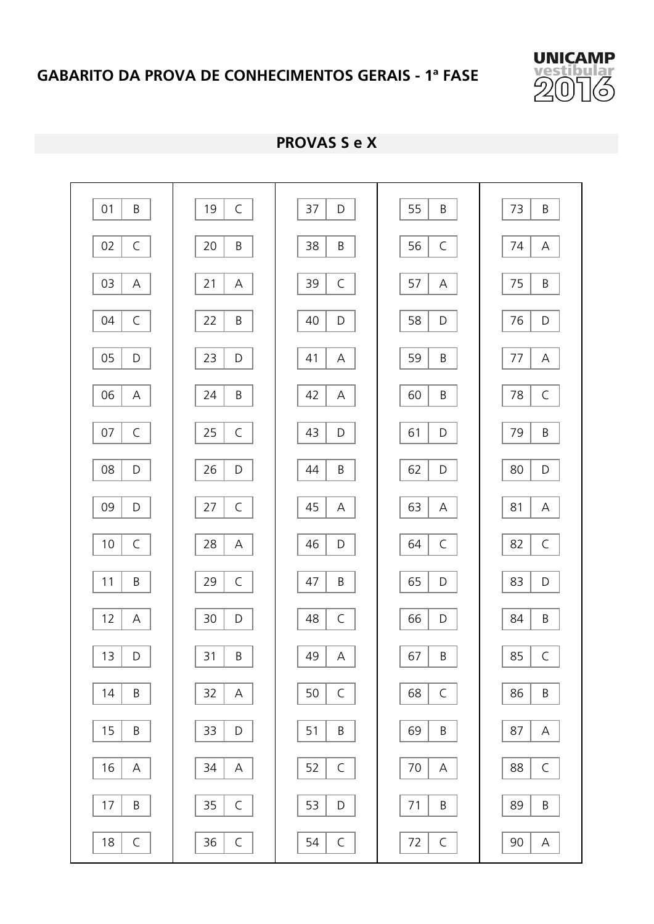

**PROVAS S e X**